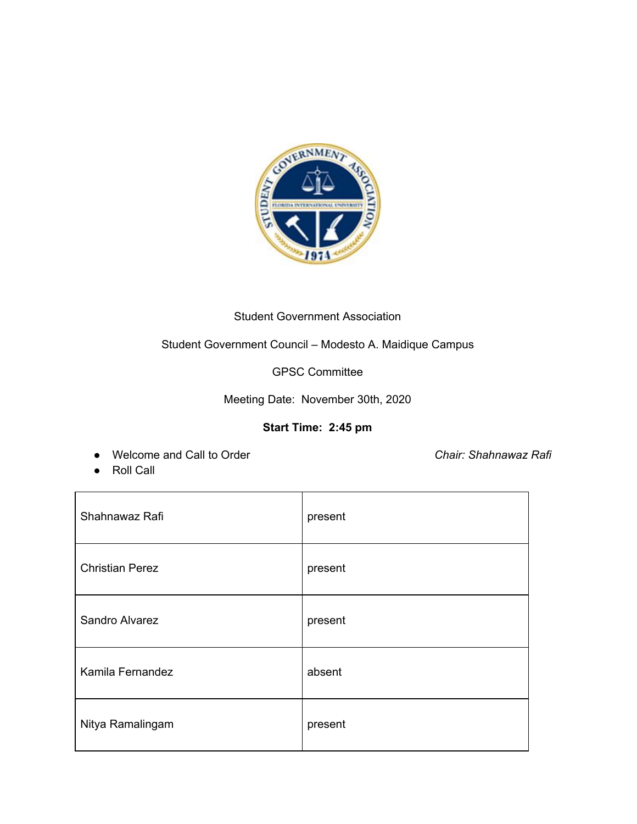

## Student Government Association

## Student Government Council – Modesto A. Maidique Campus

GPSC Committee

Meeting Date: November 30th, 2020

## **Start Time: 2:45 pm**

● Welcome and Call to Order *Chair: Shahnawaz Rafi*

● Roll Call

| Shahnawaz Rafi         | present |
|------------------------|---------|
| <b>Christian Perez</b> | present |
| Sandro Alvarez         | present |
| Kamila Fernandez       | absent  |
| Nitya Ramalingam       | present |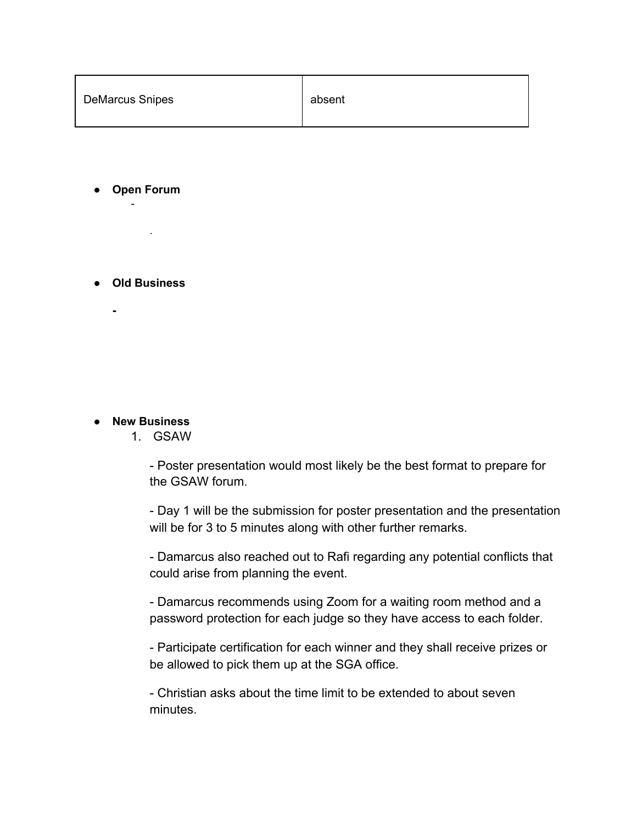| <b>DeMarcus Snipes</b><br>absent |  |
|----------------------------------|--|
|----------------------------------|--|

**● Open Forum** -

**● Old Business**

**-**

.

**● New Business**

1. GSAW

- Poster presentation would most likely be the best format to prepare for the GSAW forum.

- Day 1 will be the submission for poster presentation and the presentation will be for 3 to 5 minutes along with other further remarks.

- Damarcus also reached out to Rafi regarding any potential conflicts that could arise from planning the event.

- Damarcus recommends using Zoom for a waiting room method and a password protection for each judge so they have access to each folder.

- Participate certification for each winner and they shall receive prizes or be allowed to pick them up at the SGA office.

- Christian asks about the time limit to be extended to about seven minutes.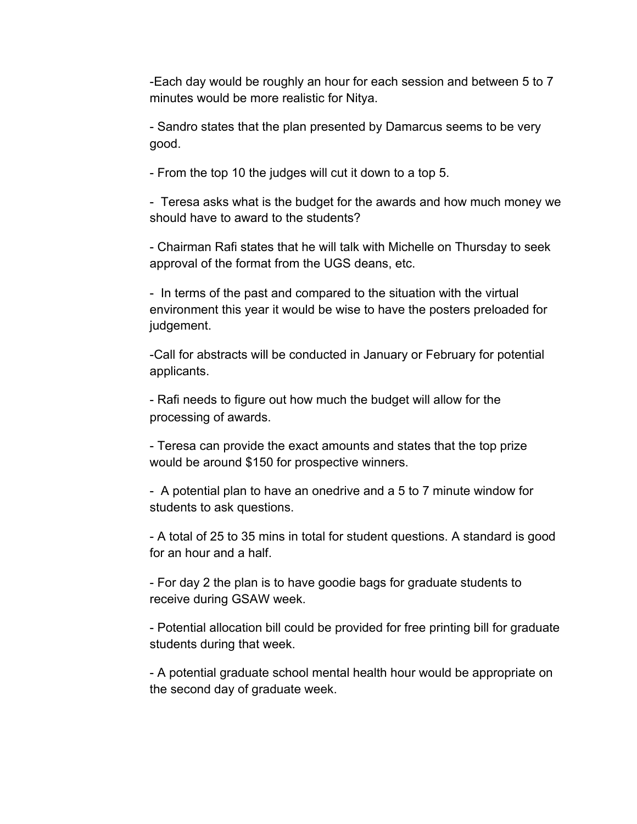-Each day would be roughly an hour for each session and between 5 to 7 minutes would be more realistic for Nitya.

- Sandro states that the plan presented by Damarcus seems to be very good.

- From the top 10 the judges will cut it down to a top 5.

- Teresa asks what is the budget for the awards and how much money we should have to award to the students?

- Chairman Rafi states that he will talk with Michelle on Thursday to seek approval of the format from the UGS deans, etc.

- In terms of the past and compared to the situation with the virtual environment this year it would be wise to have the posters preloaded for judgement.

-Call for abstracts will be conducted in January or February for potential applicants.

- Rafi needs to figure out how much the budget will allow for the processing of awards.

- Teresa can provide the exact amounts and states that the top prize would be around \$150 for prospective winners.

- A potential plan to have an onedrive and a 5 to 7 minute window for students to ask questions.

- A total of 25 to 35 mins in total for student questions. A standard is good for an hour and a half.

- For day 2 the plan is to have goodie bags for graduate students to receive during GSAW week.

- Potential allocation bill could be provided for free printing bill for graduate students during that week.

- A potential graduate school mental health hour would be appropriate on the second day of graduate week.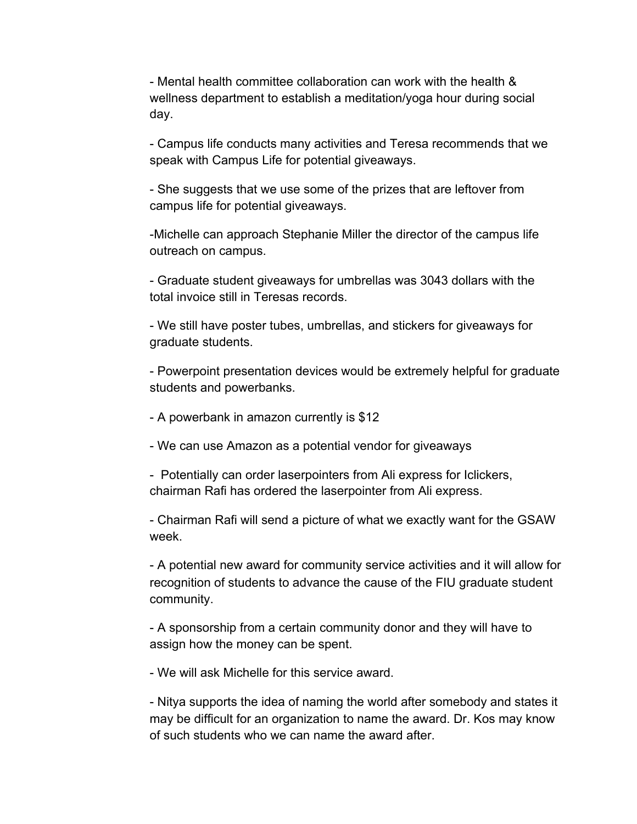- Mental health committee collaboration can work with the health & wellness department to establish a meditation/yoga hour during social day.

- Campus life conducts many activities and Teresa recommends that we speak with Campus Life for potential giveaways.

- She suggests that we use some of the prizes that are leftover from campus life for potential giveaways.

-Michelle can approach Stephanie Miller the director of the campus life outreach on campus.

- Graduate student giveaways for umbrellas was 3043 dollars with the total invoice still in Teresas records.

- We still have poster tubes, umbrellas, and stickers for giveaways for graduate students.

- Powerpoint presentation devices would be extremely helpful for graduate students and powerbanks.

- A powerbank in amazon currently is \$12
- We can use Amazon as a potential vendor for giveaways

- Potentially can order laserpointers from Ali express for Iclickers, chairman Rafi has ordered the laserpointer from Ali express.

- Chairman Rafi will send a picture of what we exactly want for the GSAW week.

- A potential new award for community service activities and it will allow for recognition of students to advance the cause of the FIU graduate student community.

- A sponsorship from a certain community donor and they will have to assign how the money can be spent.

- We will ask Michelle for this service award.

- Nitya supports the idea of naming the world after somebody and states it may be difficult for an organization to name the award. Dr. Kos may know of such students who we can name the award after.